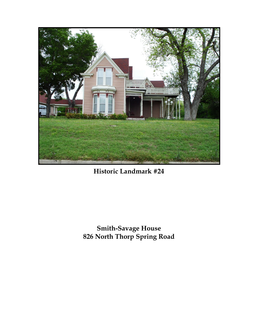

**Historic Landmark #24**

**Smith-Savage House 826 North Thorp Spring Road**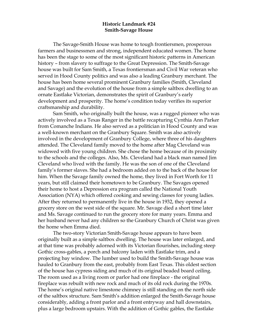## **Historic Landmark #24 Smith-Savage House**

The Savage-Smith House was home to tough frontiersmen, prosperous farmers and businessmen and strong, independent educated women. The home has been the stage to some of the most significant historic patterns in American history – from slavery to suffrage to the Great Depression. The Smith-Savage house was built for Sam Smith, a Texas frontiersman and Civil War veteran who served in Hood County politics and was also a leading Granbury merchant. The house has been home several prominent Granbury families (Smith, Cleveland and Savage) and the evolution of the house from a simple saltbox dwelling to an ornate Eastlake Victorian, demonstrates the spirit of Granbury's early development and prosperity. The home's condition today verifies its superior craftsmanship and durability.

Sam Smith, who originally built the house, was a rugged pioneer who was actively involved as a Texas Ranger in the battle recapturing Cynthia Ann Parker from Comanche Indians. He also served as a politician in Hood County and was a well-known merchant on the Granbury Square. Smith was also actively involved in the development of Granbury College, where three of his daughters attended. The Cleveland family moved to the home after Mag Cleveland was widowed with five young children. She chose the home because of its proximity to the schools and the colleges. Also, Ms. Cleveland had a black man named Jim Cleveland who lived with the family. He was the son of one of the Cleveland family's former slaves. She had a bedroom added on to the back of the house for him. When the Savage family owned the home, they lived in Fort Worth for 11 years, but still claimed their hometown to be Granbury. The Savages opened their home to host a Depression era program called the National Youth Association (NYA) which offered cooking and sewing classes for young ladies. After they returned to permanently live in the house in 1932, they opened a grocery store on the west side of the square. Mr. Savage died a short time later and Ms. Savage continued to run the grocery store for many years. Emma and her husband never had any children so the Granbury Church of Christ was given the home when Emma died.

The two-story Victorian Smith-Savage house appears to have been originally built as a simple saltbox dwelling. The house was later enlarged, and at that time was probably adorned with its Victorian flourishes, including steep Gothic cross-gables, a porch and balcony laden with Eastlake trim, and a projecting bay window. The lumber used to build the Smith-Savage house was hauled to Granbury from the east, probably from East Texas. This oldest section of the house has cypress siding and much of its original beaded board ceiling. The room used as a living room or parlor had one fireplace - the original fireplace was rebuilt with new rock and much of its old rock during the 1970s. The home's original native limestone chimney is still standing on the north side of the saltbox structure. Sam Smith's addition enlarged the Smith-Savage house considerably, adding a front parlor and a front entryway and hall downstairs, plus a large bedroom upstairs. With the addition of Gothic gables, the Eastlake